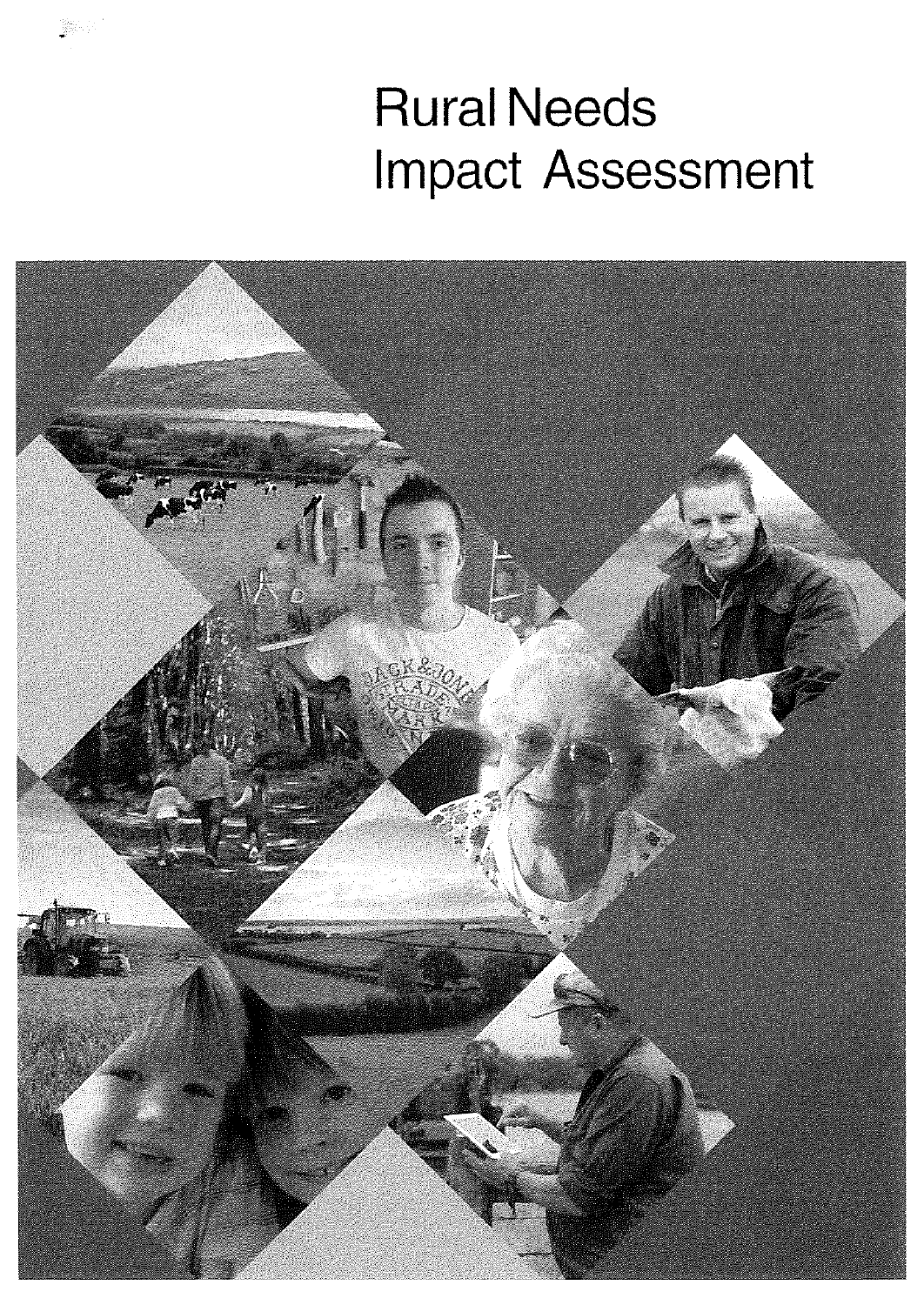# **Rural Needs Impact Assessment**

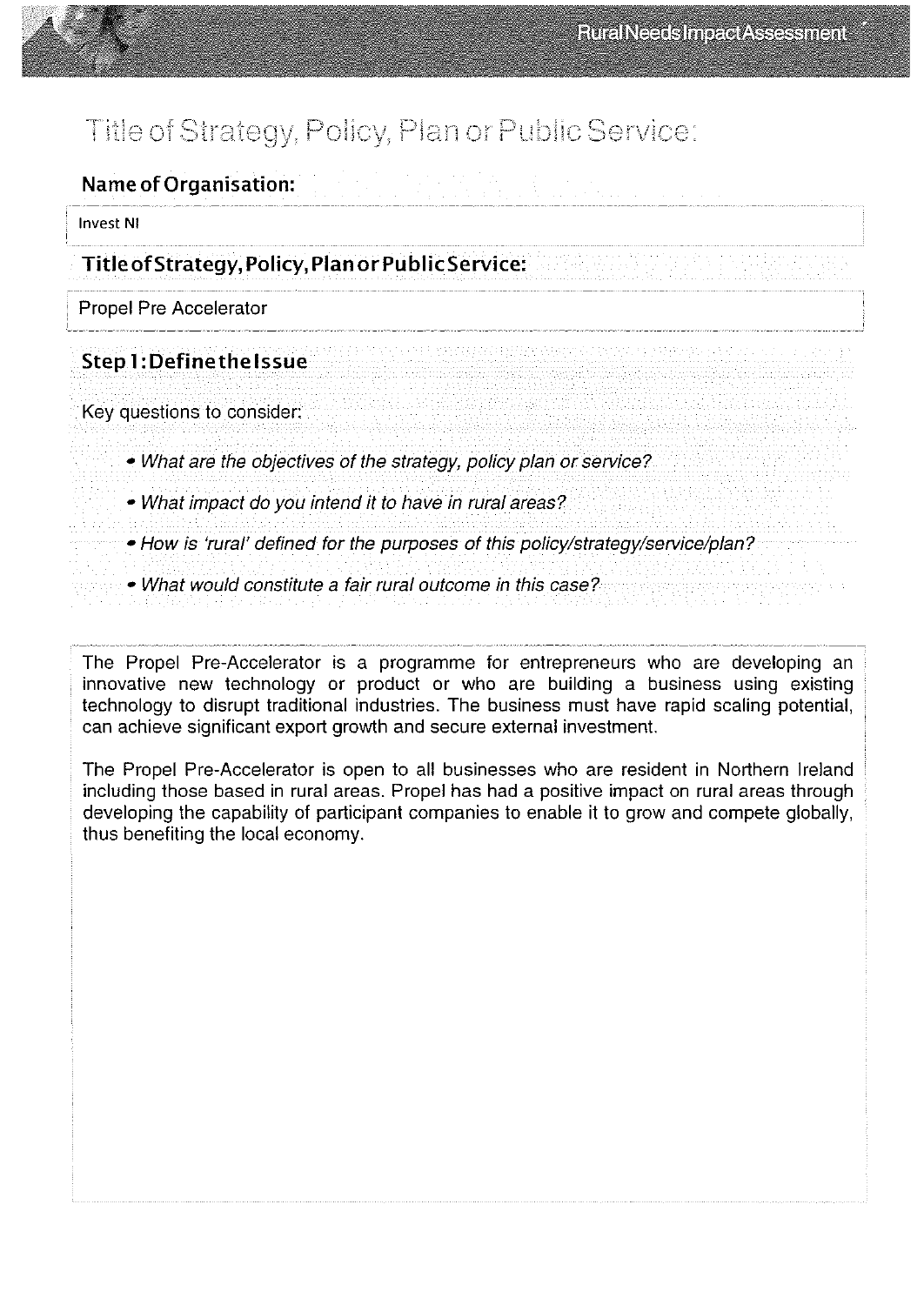## Title of Strategy, Policy, Plan or Public Service:

Name of Organisation:

invest Ni

Title ofStrategy, Policy, Plan or PublicService:

Propel Pre Accelerator

#### Step 1: Definethelssue

Key questions to consider

• What are the objectives of the strategy, policy plan or service?

• What impact do you intend it to have in rural areas?

• How is 'rural' defined for the purposes of this policy/strategy/service/plan?

• What would constitute a fair rural outcome in this case?

The Propel Pre-Accelerator is a programme for entrepreneurs who are developing an innovative new technology or product or who are building a business using existing technology to disrupt traditional industries. The business must have rapid scaling potential, can achieve significant export growth and secure external investment.

The Propel Pre-Accelerator is open to all businesses who are resident in Northern Ireland including those based in rural areas. Propel has had a positive impact on rural areas through developing the capability of participant companies to enable it to grow and compete globally, thus benefiting the local economy.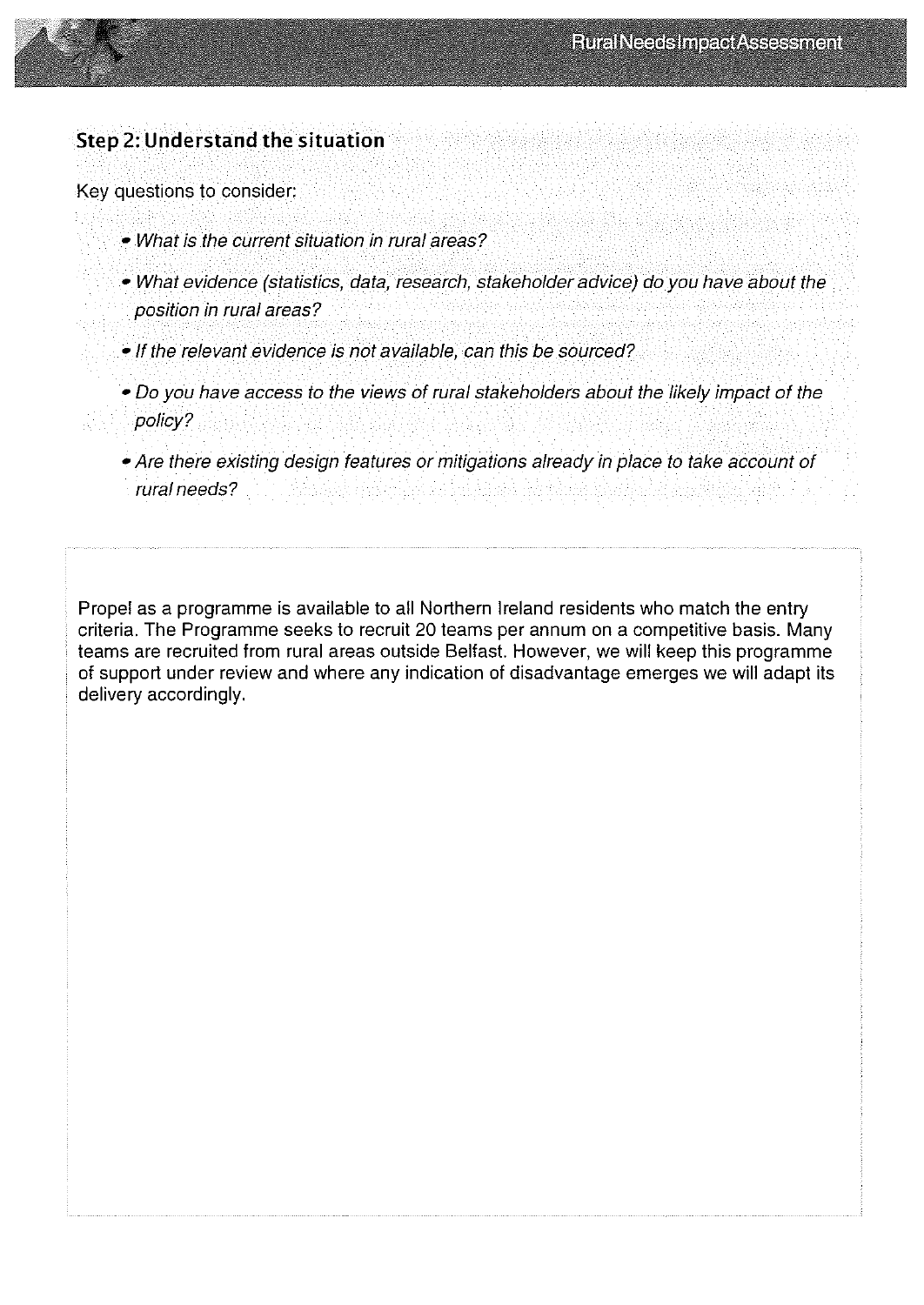

Key questions to consider:

- What is the current situation in rural areas?
- What evidence (statistics, data, research, stakeholder advice) do you have about the position in rural areas?
- If the relevant evidence is not available, can this be sourced?
- Do you have access to the views of rural stakeholders about the likely impact of the policy?
- Are there existing design features or mitigations already in place to take account of
- rural needs?

Propel as a programme is available to all Northern Ireland residents who match the entry criteria. The Programme seeks to recruit 20 teams per annum on a competitive basis. Many teams are recruited from rural areas outside Belfast. However, we will keep this programme of support under review and where any indication of disadvantage emerges we will adapt its delivery accordingly.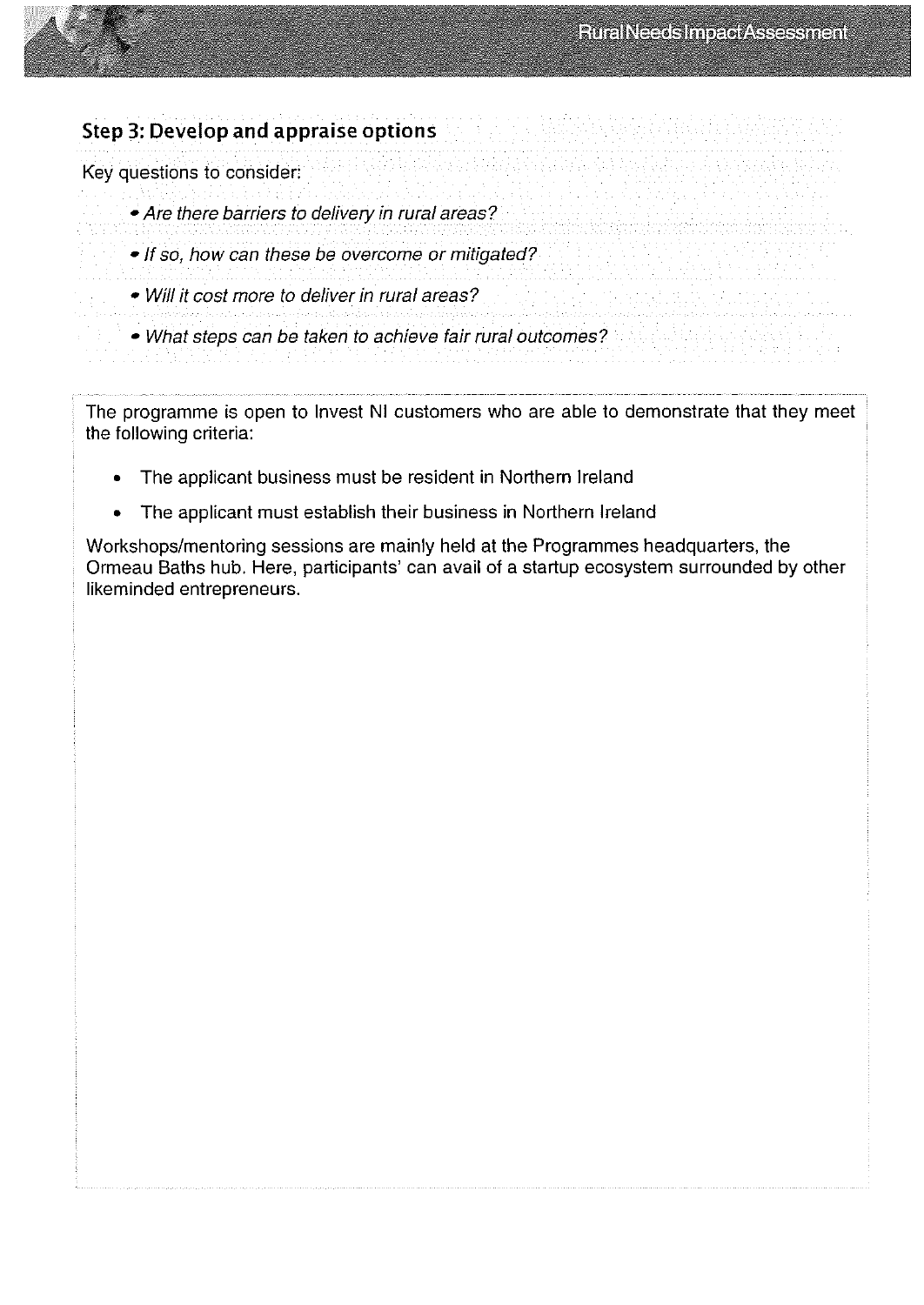

#### Step 3: Develop and appraise options

Key questions to consider

- Are there barriers to delivery in rural areas?
- If so, how can these be overcome or mitigated?
- Will it cost more to deliver in rural areas2
- 
- What steps can be taken to achieve fair rural outcomes?

The programme is open to Invest NI customers who are able to demonstrate that they meet the following criteria:

- The applicant business must be resident in Northern Ireland
- The applicant must establish their business in Northern Ireland

Workshops/mentoring sessions are mainly held at the Programmes headquarters, the Ormeau Baths hub. Here, participants' can avail of a startup ecosystem surrounded by other likeminded entrepreneurs.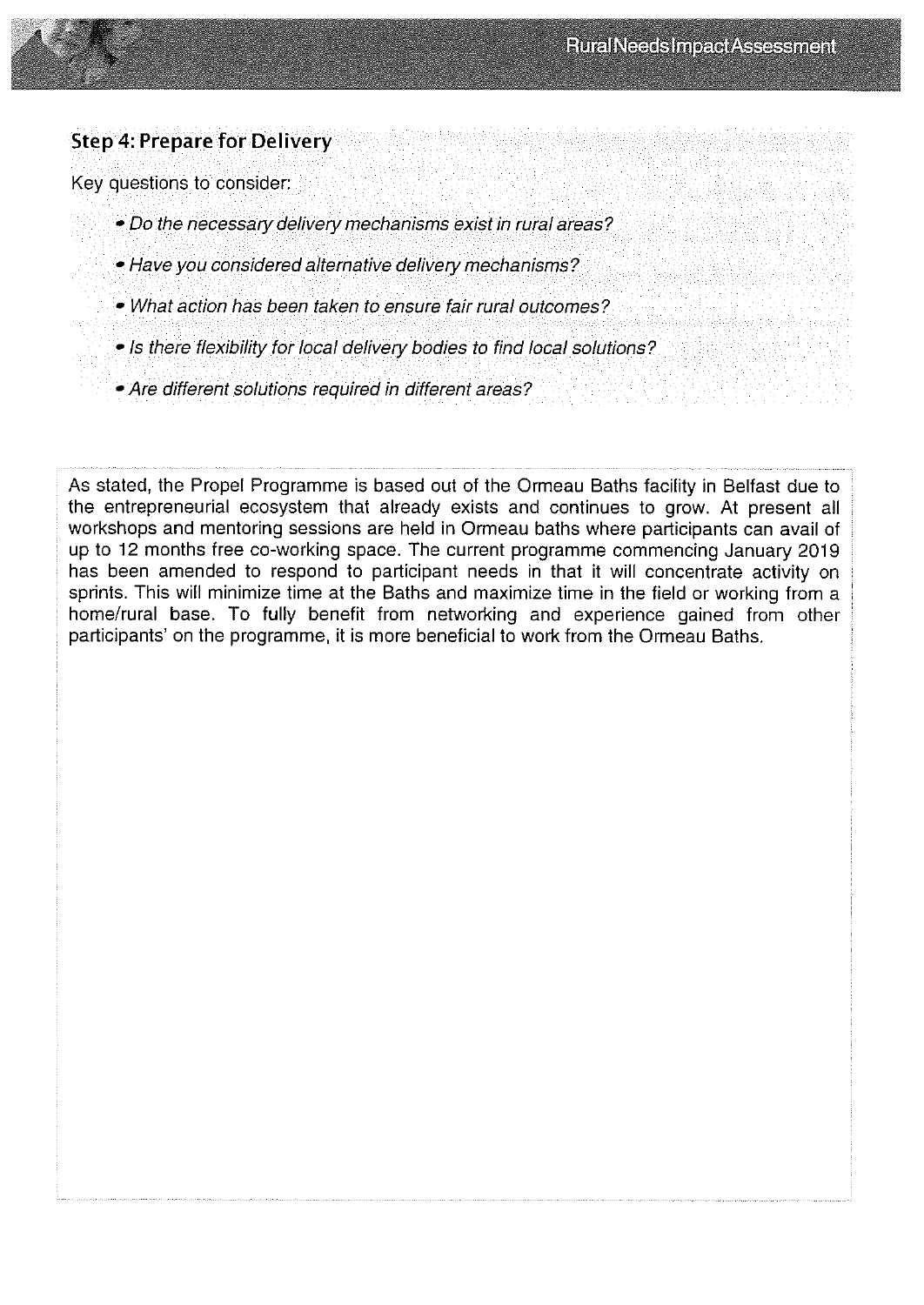

### Step 4: Prepare for Delivery

Key questions to consider

- Do the necessary delivery mechanisms exist in rural areas?
- Have you considered alternative delivery mechanisms?
- What action has been taken to ensure fair rural outcomes?
- Is there flexibility for local delivery bodies to find local solutions?
- Are different solutions required in different areas?

As stated, the Propel Programme is based out of the Ormeau Baths facility in Belfast due to the entrepreneurial ecosystem that already exists and continues to grow. At present all workshops and mentoring sessions are held in Ormeau baths where participants can avail of up to 12 months free co-working space. The current programme commencing January 2019 has been amended to respond to participant needs in that it will concentrate activity on sprints. This will minimize time at the Baths and maximize time in the field or working from a home/rural base. To fully benefit from networking and experience gained from other participants' on the programme, it is more beneficial to work from the Ormeau Baths.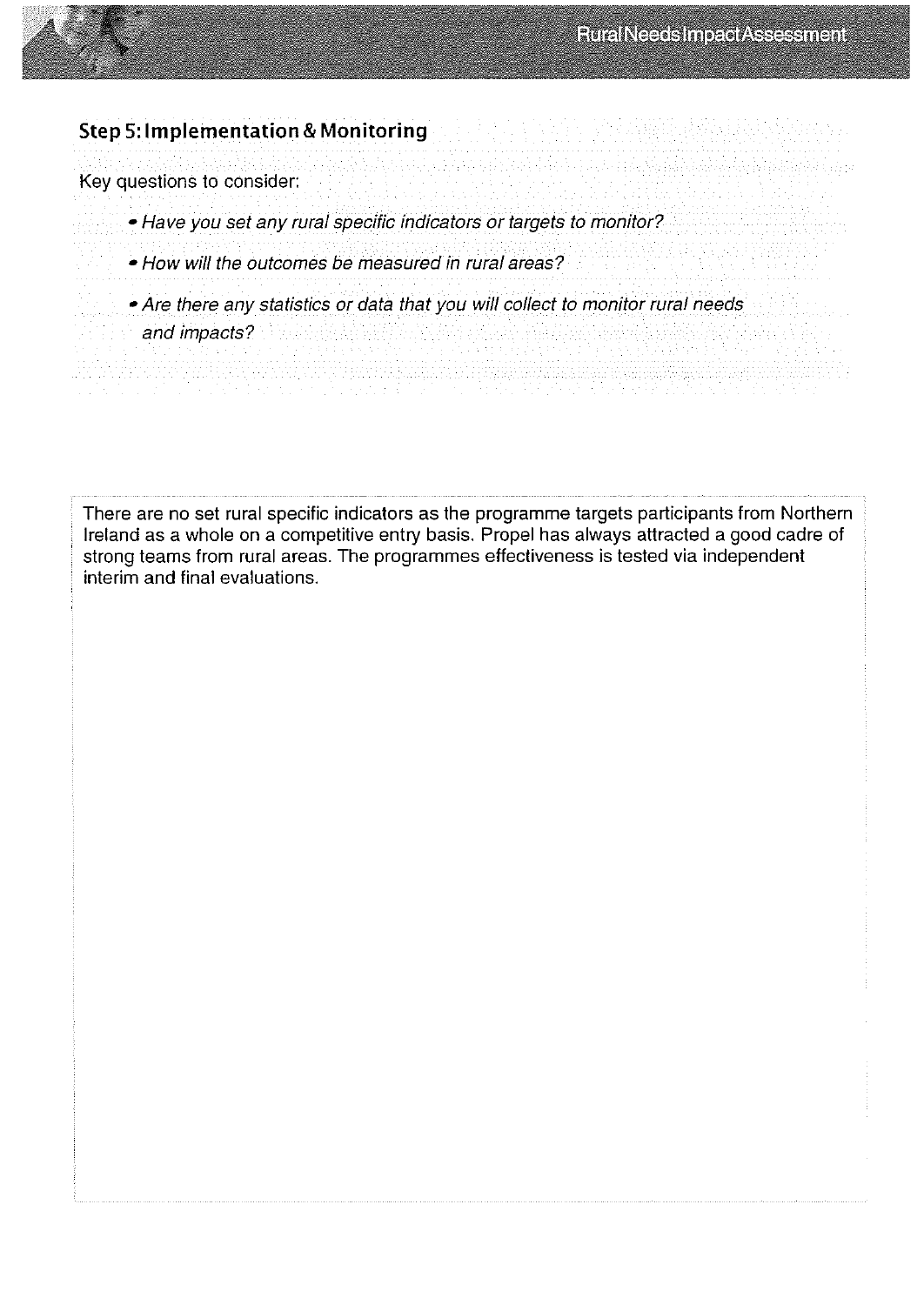#### Step 5:lmplementation & Monitoring

Key questions to consider:

- Have you set any rural specihc indicators or targets to monitor?
- How will the outcomes be measured in rural areas?
- —Are there any statistics or data that you will collect to monitor rural needs
- and impacts?

There are no set rural specific indicators as the programme targets participants from Northern Ireland as a whole on a competitive entry basis. Propel has always attracted a good cadre of strong teams from rural areas. The programmes effectiveness is tested via independent interim and final evaluations.